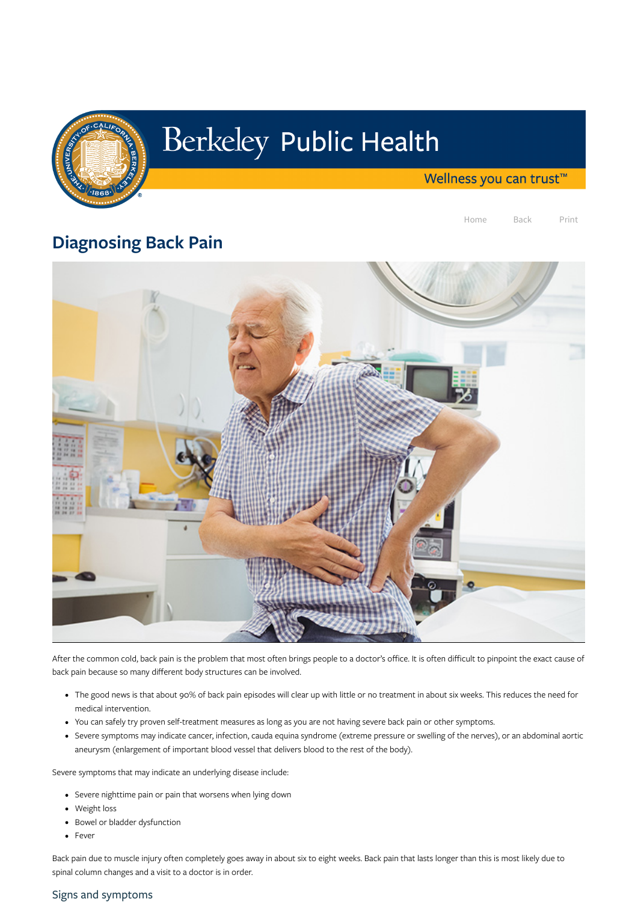

# Berkeley Public Health

Wellness you can trust<sup>™</sup>

Home Back Print

# Diagnosing Back Pain



After the common cold, back pain is the problem that most often brings people to a doctor's office. It is often difficult to pinpoint the exact cause of back pain because so many different body structures can be involved.

- Severe nighttime pain or pain that worsens when lying down
- Weight loss
- Bowel or bladder dysfunction
- Fever
- The good news is that about 90% of back pain episodes will clear up with little or no treatment in about six weeks. This reduces the need for medical intervention.
- You can safely try proven self-treatment measures as long as you are not having severe back pain or other symptoms.
- Severe symptoms may indicate cancer, infection, cauda equina syndrome (extreme pressure or swelling of the nerves), or an abdominal aortic aneurysm (enlargement of important blood vessel that delivers blood to the rest of the body).

Severe symptoms that may indicate an underlying disease include:

Back pain due to muscle injury often completely goes away in about six to eight weeks. Back pain that lasts longer than this is most likely due to spinal column changes and a visit to a doctor is in order.

#### Signs and symptoms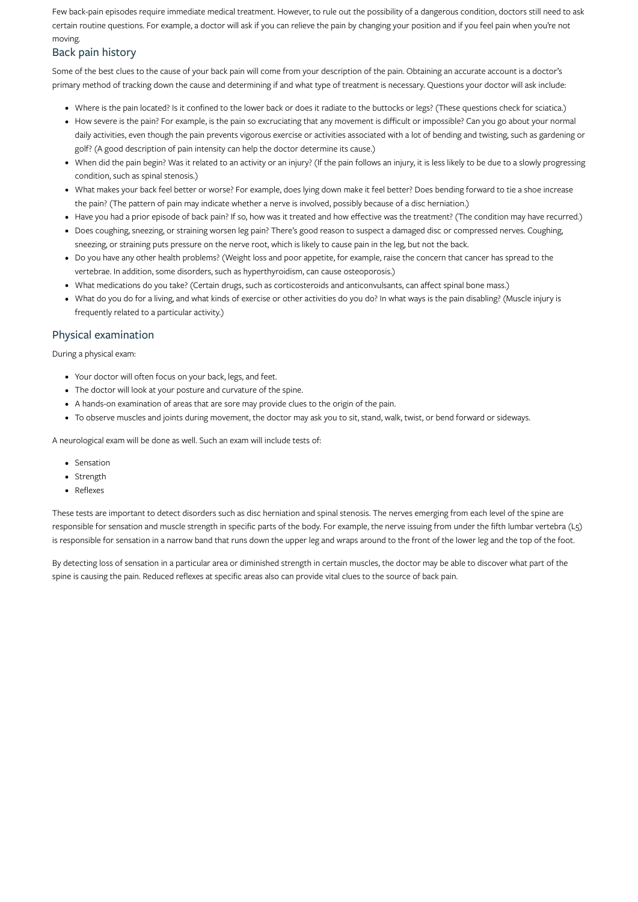Few back-pain episodes require immediate medical treatment. However, to rule out the possibility of a dangerous condition, doctors still need to ask certain routine questions. For example, a doctor will ask if you can relieve the pain by changing your position and if you feel pain when you're not moving.

## Back pain history

Some of the best clues to the cause of your back pain will come from your description of the pain. Obtaining an accurate account is a doctor's primary method of tracking down the cause and determining if and what type of treatment is necessary. Questions your doctor will ask include:

- Where is the pain located? Is it confined to the lower back or does it radiate to the buttocks or legs? (These questions check for sciatica.)
- How severe is the pain? For example, is the pain so excruciating that any movement is difficult or impossible? Can you go about your normal daily activities, even though the pain prevents vigorous exercise or activities associated with a lot of bending and twisting, such as gardening or golf? (A good description of pain intensity can help the doctor determine its cause.)
- When did the pain begin? Was it related to an activity or an injury? (If the pain follows an injury, it is less likely to be due to a slowly progressing condition, such as spinal stenosis.)
- What makes your back feel better or worse? For example, does lying down make it feel better? Does bending forward to tie a shoe increase the pain? (The pattern of pain may indicate whether a nerve is involved, possibly because of a disc herniation.)
- Have you had a prior episode of back pain? If so, how was it treated and how effective was the treatment? (The condition may have recurred.)
- Does coughing, sneezing, or straining worsen leg pain? There's good reason to suspect a damaged disc or compressed nerves. Coughing, sneezing, or straining puts pressure on the nerve root, which is likely to cause pain in the leg, but not the back.
- Do you have any other health problems? (Weight loss and poor appetite, for example, raise the concern that cancer has spread to the vertebrae. In addition, some disorders, such as hyperthyroidism, can cause osteoporosis.)
- What medications do you take? (Certain drugs, such as corticosteroids and anticonvulsants, can affect spinal bone mass.)
- What do you do for a living, and what kinds of exercise or other activities do you do? In what ways is the pain disabling? (Muscle injury is frequently related to a particular activity.)

### Physical examination

During a physical exam:

- Your doctor will often focus on your back, legs, and feet.
- The doctor will look at your posture and curvature of the spine.
- A hands-on examination of areas that are sore may provide clues to the origin of the pain.
- To observe muscles and joints during movement, the doctor may ask you to sit, stand, walk, twist, or bend forward or sideways.

A neurological exam will be done as well. Such an exam will include tests of:

- Sensation
- Strength
- Reflexes

These tests are important to detect disorders such as disc herniation and spinal stenosis. The nerves emerging from each level of the spine are responsible for sensation and muscle strength in specific parts of the body. For example, the nerve issuing from under the fifth lumbar vertebra (L5) is responsible for sensation in a narrow band that runs down the upper leg and wraps around to the front of the lower leg and the top of the foot.

By detecting loss of sensation in a particular area or diminished strength in certain muscles, the doctor may be able to discover what part of the spine is causing the pain. Reduced reflexes at specific areas also can provide vital clues to the source of back pain.